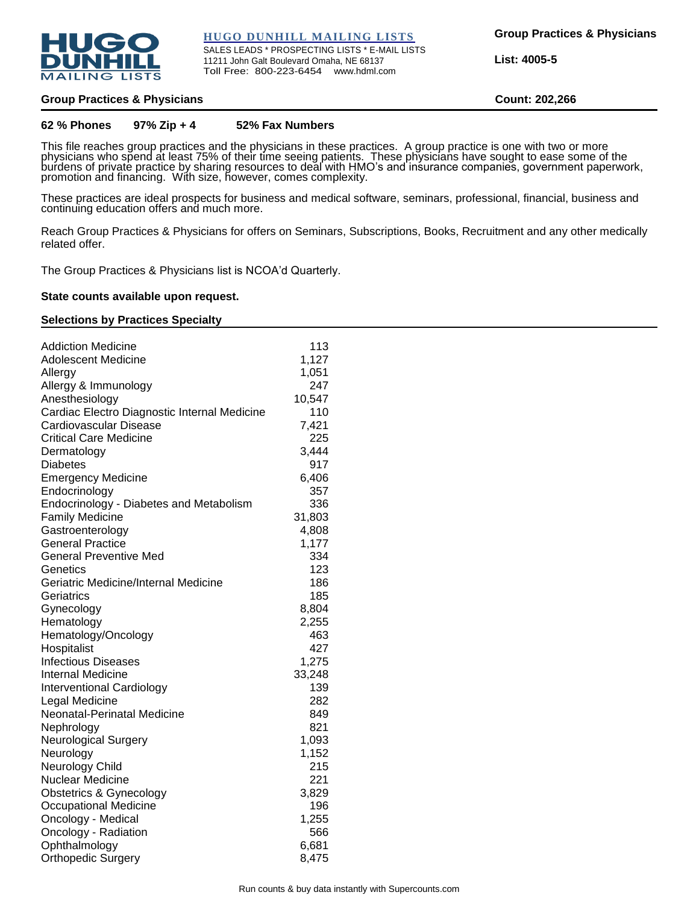

#### **HUGO DUNHILL MAILING LISTS**

SALES LEADS \* PROSPECTING LISTS \* E-MAIL LISTS 11211 John Galt Boulevard Omaha, NE 68137 Toll Free: 800-223-6454 www.hdml.com

**List: 4005-5**

### **Group Practices & Physicians Count: 202,266**

### **62 % Phones 97% Zip + 4 52% Fax Numbers**

This file reaches group practices and the physicians in these practices. A group practice is one with two or more physicians who spend at least 75% of their time seeing patients. These physicians have sought to ease some of the burdens of private practice by sharing resources to deal with HMO's and insurance companies, government paperwork, promotion and financing. With size, however, comes complexity.

These practices are ideal prospects for business and medical software, seminars, professional, financial, business and continuing education offers and much more.

Reach Group Practices & Physicians for offers on Seminars, Subscriptions, Books, Recruitment and any other medically related offer.

The Group Practices & Physicians list is NCOA'd Quarterly.

#### **State counts available upon request.**

### **Selections by Practices Specialty**

| <b>Addiction Medicine</b>                    | 113    |
|----------------------------------------------|--------|
| <b>Adolescent Medicine</b>                   | 1,127  |
| Allergy                                      | 1,051  |
| Allergy & Immunology                         | 247    |
| Anesthesiology                               | 10,547 |
| Cardiac Electro Diagnostic Internal Medicine | 110    |
| Cardiovascular Disease                       | 7,421  |
| <b>Critical Care Medicine</b>                | 225    |
| Dermatology                                  | 3,444  |
| Diabetes                                     | 917    |
| <b>Emergency Medicine</b>                    | 6,406  |
| Endocrinology                                | 357    |
| Endocrinology - Diabetes and Metabolism      | 336    |
| <b>Family Medicine</b>                       | 31,803 |
| Gastroenterology                             | 4,808  |
| <b>General Practice</b>                      | 1,177  |
| <b>General Preventive Med</b>                | 334    |
| Genetics                                     | 123    |
| Geriatric Medicine/Internal Medicine         | 186    |
| Geriatrics                                   | 185    |
| Gynecology                                   | 8,804  |
| Hematology                                   | 2,255  |
| Hematology/Oncology                          | 463    |
| Hospitalist                                  | 427    |
| <b>Infectious Diseases</b>                   | 1,275  |
| <b>Internal Medicine</b>                     | 33,248 |
| <b>Interventional Cardiology</b>             | 139    |
| Legal Medicine                               | 282    |
| Neonatal-Perinatal Medicine                  | 849    |
| Nephrology                                   | 821    |
| Neurological Surgery                         | 1,093  |
| Neurology                                    | 1,152  |
| Neurology Child                              | 215    |
| Nuclear Medicine                             | 221    |
| Obstetrics & Gynecology                      | 3,829  |
| Occupational Medicine                        | 196    |
| Oncology - Medical                           | 1,255  |
| Oncology - Radiation                         | 566    |
| Ophthalmology                                | 6,681  |
| <b>Orthopedic Surgery</b>                    | 8,475  |